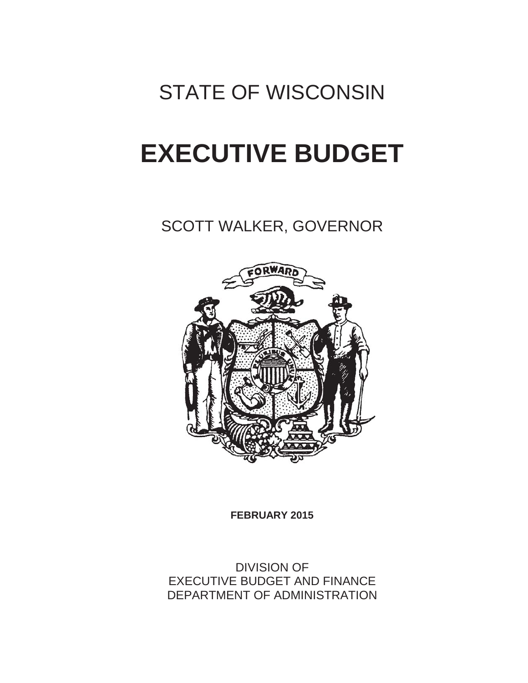# STATE OF WISCONSIN

# **EXECUTIVE BUDGET**

SCOTT WALKER, GOVERNOR



**FEBRUARY 2015**

DIVISION OF EXECUTIVE BUDGET AND FINANCE DEPARTMENT OF ADMINISTRATION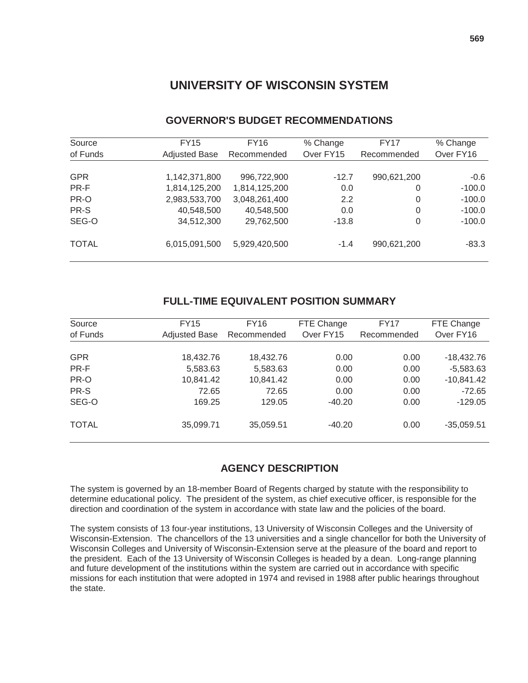# **UNIVERSITY OF WISCONSIN SYSTEM**

| Source       | <b>FY15</b>          | FY16          | % Change  | <b>FY17</b> | % Change  |
|--------------|----------------------|---------------|-----------|-------------|-----------|
| of Funds     | <b>Adjusted Base</b> | Recommended   | Over FY15 | Recommended | Over FY16 |
|              |                      |               |           |             |           |
| <b>GPR</b>   | 1,142,371,800        | 996,722,900   | $-12.7$   | 990,621,200 | $-0.6$    |
| PR-F         | 1,814,125,200        | 1,814,125,200 | 0.0       | 0           | $-100.0$  |
| PR-O         | 2,983,533,700        | 3,048,261,400 | 2.2       | 0           | $-100.0$  |
| PR-S         | 40,548,500           | 40,548,500    | 0.0       | 0           | $-100.0$  |
| SEG-O        | 34,512,300           | 29,762,500    | $-13.8$   | 0           | $-100.0$  |
| <b>TOTAL</b> | 6,015,091,500        | 5,929,420,500 | $-1.4$    | 990,621,200 | $-83.3$   |

# **GOVERNOR'S BUDGET RECOMMENDATIONS**

# **FULL-TIME EQUIVALENT POSITION SUMMARY**

| Source<br>of Funds | FY15<br><b>Adjusted Base</b> | FY16<br>Recommended | FTE Change<br>Over FY15 | <b>FY17</b><br>Recommended | FTE Change<br>Over FY16 |
|--------------------|------------------------------|---------------------|-------------------------|----------------------------|-------------------------|
|                    |                              |                     |                         |                            |                         |
| <b>GPR</b>         | 18,432.76                    | 18,432.76           | 0.00                    | 0.00                       | $-18,432.76$            |
| PR-F               | 5,583.63                     | 5,583.63            | 0.00                    | 0.00                       | $-5,583.63$             |
| PR-O               | 10,841.42                    | 10,841.42           | 0.00                    | 0.00                       | $-10,841.42$            |
| PR-S               | 72.65                        | 72.65               | 0.00                    | 0.00                       | $-72.65$                |
| SEG-O              | 169.25                       | 129.05              | $-40.20$                | 0.00                       | $-129.05$               |
| <b>TOTAL</b>       | 35,099.71                    | 35,059.51           | $-40.20$                | 0.00                       | $-35,059.51$            |

# **AGENCY DESCRIPTION**

The system is governed by an 18-member Board of Regents charged by statute with the responsibility to determine educational policy. The president of the system, as chief executive officer, is responsible for the direction and coordination of the system in accordance with state law and the policies of the board.

The system consists of 13 four-year institutions, 13 University of Wisconsin Colleges and the University of Wisconsin-Extension. The chancellors of the 13 universities and a single chancellor for both the University of Wisconsin Colleges and University of Wisconsin-Extension serve at the pleasure of the board and report to the president. Each of the 13 University of Wisconsin Colleges is headed by a dean. Long-range planning and future development of the institutions within the system are carried out in accordance with specific missions for each institution that were adopted in 1974 and revised in 1988 after public hearings throughout the state.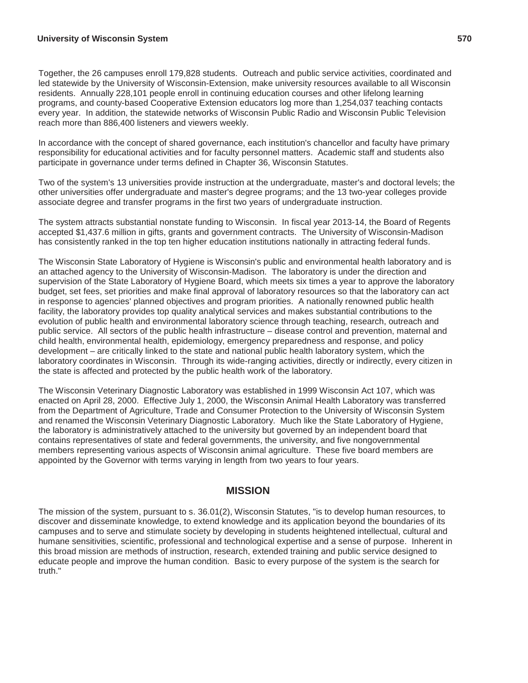#### **University of Wisconsin System 570**

Together, the 26 campuses enroll 179,828 students. Outreach and public service activities, coordinated and led statewide by the University of Wisconsin-Extension, make university resources available to all Wisconsin residents. Annually 228,101 people enroll in continuing education courses and other lifelong learning programs, and county-based Cooperative Extension educators log more than 1,254,037 teaching contacts every year. In addition, the statewide networks of Wisconsin Public Radio and Wisconsin Public Television reach more than 886,400 listeners and viewers weekly.

In accordance with the concept of shared governance, each institution's chancellor and faculty have primary responsibility for educational activities and for faculty personnel matters. Academic staff and students also participate in governance under terms defined in Chapter 36, Wisconsin Statutes.

Two of the system's 13 universities provide instruction at the undergraduate, master's and doctoral levels; the other universities offer undergraduate and master's degree programs; and the 13 two-year colleges provide associate degree and transfer programs in the first two years of undergraduate instruction.

The system attracts substantial nonstate funding to Wisconsin. In fiscal year 2013-14, the Board of Regents accepted \$1,437.6 million in gifts, grants and government contracts. The University of Wisconsin-Madison has consistently ranked in the top ten higher education institutions nationally in attracting federal funds.

The Wisconsin State Laboratory of Hygiene is Wisconsin's public and environmental health laboratory and is an attached agency to the University of Wisconsin-Madison. The laboratory is under the direction and supervision of the State Laboratory of Hygiene Board, which meets six times a year to approve the laboratory budget, set fees, set priorities and make final approval of laboratory resources so that the laboratory can act in response to agencies' planned objectives and program priorities. A nationally renowned public health facility, the laboratory provides top quality analytical services and makes substantial contributions to the evolution of public health and environmental laboratory science through teaching, research, outreach and public service. All sectors of the public health infrastructure – disease control and prevention, maternal and child health, environmental health, epidemiology, emergency preparedness and response, and policy development – are critically linked to the state and national public health laboratory system, which the laboratory coordinates in Wisconsin. Through its wide-ranging activities, directly or indirectly, every citizen in the state is affected and protected by the public health work of the laboratory.

The Wisconsin Veterinary Diagnostic Laboratory was established in 1999 Wisconsin Act 107, which was enacted on April 28, 2000. Effective July 1, 2000, the Wisconsin Animal Health Laboratory was transferred from the Department of Agriculture, Trade and Consumer Protection to the University of Wisconsin System and renamed the Wisconsin Veterinary Diagnostic Laboratory. Much like the State Laboratory of Hygiene, the laboratory is administratively attached to the university but governed by an independent board that contains representatives of state and federal governments, the university, and five nongovernmental members representing various aspects of Wisconsin animal agriculture. These five board members are appointed by the Governor with terms varying in length from two years to four years.

#### **MISSION**

The mission of the system, pursuant to s. 36.01(2), Wisconsin Statutes, "is to develop human resources, to discover and disseminate knowledge, to extend knowledge and its application beyond the boundaries of its campuses and to serve and stimulate society by developing in students heightened intellectual, cultural and humane sensitivities, scientific, professional and technological expertise and a sense of purpose. Inherent in this broad mission are methods of instruction, research, extended training and public service designed to educate people and improve the human condition. Basic to every purpose of the system is the search for truth."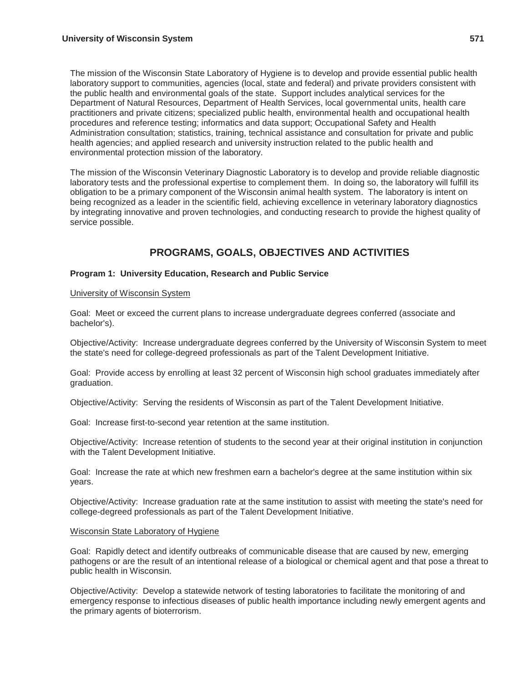The mission of the Wisconsin State Laboratory of Hygiene is to develop and provide essential public health laboratory support to communities, agencies (local, state and federal) and private providers consistent with the public health and environmental goals of the state. Support includes analytical services for the Department of Natural Resources, Department of Health Services, local governmental units, health care practitioners and private citizens; specialized public health, environmental health and occupational health procedures and reference testing; informatics and data support; Occupational Safety and Health Administration consultation; statistics, training, technical assistance and consultation for private and public health agencies; and applied research and university instruction related to the public health and environmental protection mission of the laboratory.

The mission of the Wisconsin Veterinary Diagnostic Laboratory is to develop and provide reliable diagnostic laboratory tests and the professional expertise to complement them. In doing so, the laboratory will fulfill its obligation to be a primary component of the Wisconsin animal health system. The laboratory is intent on being recognized as a leader in the scientific field, achieving excellence in veterinary laboratory diagnostics by integrating innovative and proven technologies, and conducting research to provide the highest quality of service possible.

# **PROGRAMS, GOALS, OBJECTIVES AND ACTIVITIES**

#### **Program 1: University Education, Research and Public Service**

#### University of Wisconsin System

Goal: Meet or exceed the current plans to increase undergraduate degrees conferred (associate and bachelor's).

Objective/Activity: Increase undergraduate degrees conferred by the University of Wisconsin System to meet the state's need for college-degreed professionals as part of the Talent Development Initiative.

Goal: Provide access by enrolling at least 32 percent of Wisconsin high school graduates immediately after graduation.

Objective/Activity: Serving the residents of Wisconsin as part of the Talent Development Initiative.

Goal: Increase first-to-second year retention at the same institution.

Objective/Activity: Increase retention of students to the second year at their original institution in conjunction with the Talent Development Initiative.

Goal: Increase the rate at which new freshmen earn a bachelor's degree at the same institution within six years.

Objective/Activity: Increase graduation rate at the same institution to assist with meeting the state's need for college-degreed professionals as part of the Talent Development Initiative.

#### Wisconsin State Laboratory of Hygiene

Goal: Rapidly detect and identify outbreaks of communicable disease that are caused by new, emerging pathogens or are the result of an intentional release of a biological or chemical agent and that pose a threat to public health in Wisconsin.

Objective/Activity: Develop a statewide network of testing laboratories to facilitate the monitoring of and emergency response to infectious diseases of public health importance including newly emergent agents and the primary agents of bioterrorism.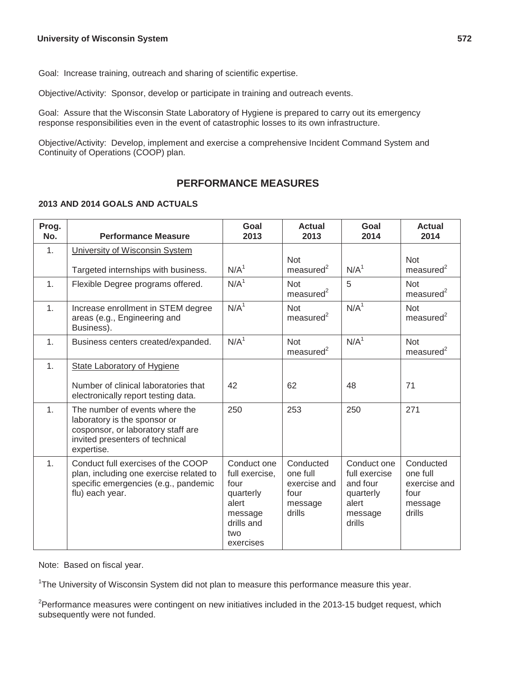Goal: Increase training, outreach and sharing of scientific expertise.

Objective/Activity: Sponsor, develop or participate in training and outreach events.

Goal: Assure that the Wisconsin State Laboratory of Hygiene is prepared to carry out its emergency response responsibilities even in the event of catastrophic losses to its own infrastructure.

Objective/Activity: Develop, implement and exercise a comprehensive Incident Command System and Continuity of Operations (COOP) plan.

# **PERFORMANCE MEASURES**

#### **2013 AND 2014 GOALS AND ACTUALS**

| Prog.<br>No. | <b>Performance Measure</b>                                                                                                                            | Goal<br>2013                                                                                             | <b>Actual</b><br>2013                                              | Goal<br>2014                                                                        | <b>Actual</b><br>2014                                              |
|--------------|-------------------------------------------------------------------------------------------------------------------------------------------------------|----------------------------------------------------------------------------------------------------------|--------------------------------------------------------------------|-------------------------------------------------------------------------------------|--------------------------------------------------------------------|
| 1.           | University of Wisconsin System<br>Targeted internships with business.                                                                                 | N/A <sup>1</sup>                                                                                         | <b>Not</b><br>$measured^2$                                         | N/A <sup>1</sup>                                                                    | <b>Not</b><br>$measured^2$                                         |
| 1.           | Flexible Degree programs offered.                                                                                                                     | N/A <sup>1</sup>                                                                                         | <b>Not</b><br>measured $2$                                         | 5                                                                                   | <b>Not</b><br>$measured^2$                                         |
| 1.           | Increase enrollment in STEM degree<br>areas (e.g., Engineering and<br>Business).                                                                      | N/A <sup>1</sup>                                                                                         | <b>Not</b><br>measured <sup>2</sup>                                | N/A <sup>1</sup>                                                                    | <b>Not</b><br>$measured^2$                                         |
| 1.           | Business centers created/expanded.                                                                                                                    | N/A <sup>1</sup>                                                                                         | <b>Not</b><br>$measured^2$                                         | N/A <sup>1</sup>                                                                    | <b>Not</b><br>$measured^2$                                         |
| 1.           | <b>State Laboratory of Hygiene</b>                                                                                                                    |                                                                                                          |                                                                    |                                                                                     |                                                                    |
|              | Number of clinical laboratories that<br>electronically report testing data.                                                                           | 42                                                                                                       | 62                                                                 | 48                                                                                  | 71                                                                 |
| 1.           | The number of events where the<br>laboratory is the sponsor or<br>cosponsor, or laboratory staff are<br>invited presenters of technical<br>expertise. | 250                                                                                                      | 253                                                                | 250                                                                                 | 271                                                                |
| 1.           | Conduct full exercises of the COOP<br>plan, including one exercise related to<br>specific emergencies (e.g., pandemic<br>flu) each year.              | Conduct one<br>full exercise,<br>four<br>quarterly<br>alert<br>message<br>drills and<br>two<br>exercises | Conducted<br>one full<br>exercise and<br>four<br>message<br>drills | Conduct one<br>full exercise<br>and four<br>quarterly<br>alert<br>message<br>drills | Conducted<br>one full<br>exercise and<br>four<br>message<br>drills |

Note: Based on fiscal year.

<sup>1</sup>The University of Wisconsin System did not plan to measure this performance measure this year.

<sup>2</sup>Performance measures were contingent on new initiatives included in the 2013-15 budget request, which subsequently were not funded.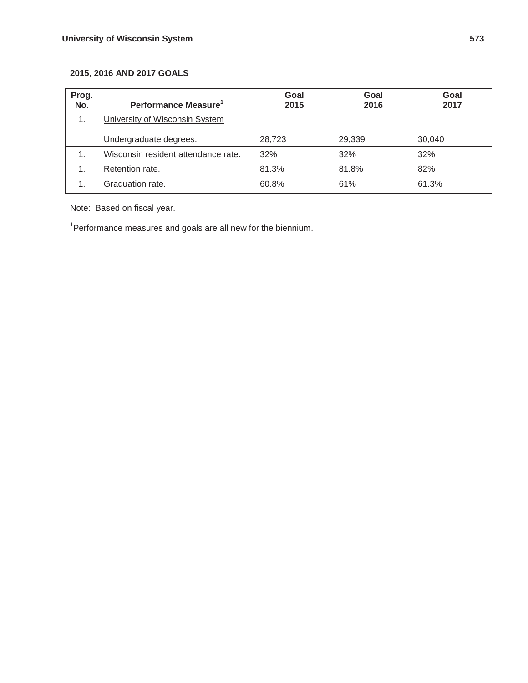# **2015, 2016 AND 2017 GOALS**

| Prog.<br>No.  | Performance Measure <sup>1</sup>    | Goal<br>2015 | Goal<br>2016 | Goal<br>2017 |
|---------------|-------------------------------------|--------------|--------------|--------------|
| 1.            | University of Wisconsin System      |              |              |              |
|               | Undergraduate degrees.              | 28,723       | 29,339       | 30,040       |
| 1.            | Wisconsin resident attendance rate. | 32%          | 32%          | 32%          |
| $\mathbf 1$ . | Retention rate.                     | 81.3%        | 81.8%        | 82%          |
|               | Graduation rate.                    | 60.8%        | 61%          | 61.3%        |

Note: Based on fiscal year.

<sup>1</sup>Performance measures and goals are all new for the biennium.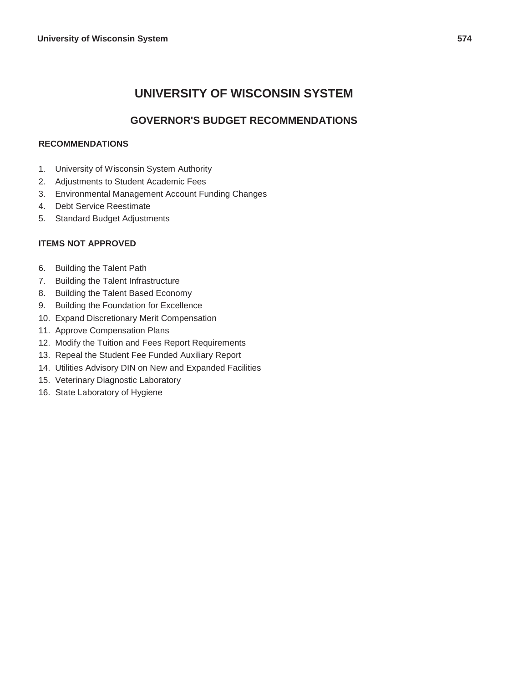# **UNIVERSITY OF WISCONSIN SYSTEM**

# **GOVERNOR'S BUDGET RECOMMENDATIONS**

### **RECOMMENDATIONS**

- 1. University of Wisconsin System Authority
- 2. Adjustments to Student Academic Fees
- 3. Environmental Management Account Funding Changes
- 4. Debt Service Reestimate
- 5. Standard Budget Adjustments

#### **ITEMS NOT APPROVED**

- 6. Building the Talent Path
- 7. Building the Talent Infrastructure
- 8. Building the Talent Based Economy
- 9. Building the Foundation for Excellence
- 10. Expand Discretionary Merit Compensation
- 11. Approve Compensation Plans
- 12. Modify the Tuition and Fees Report Requirements
- 13. Repeal the Student Fee Funded Auxiliary Report
- 14. Utilities Advisory DIN on New and Expanded Facilities
- 15. Veterinary Diagnostic Laboratory
- 16. State Laboratory of Hygiene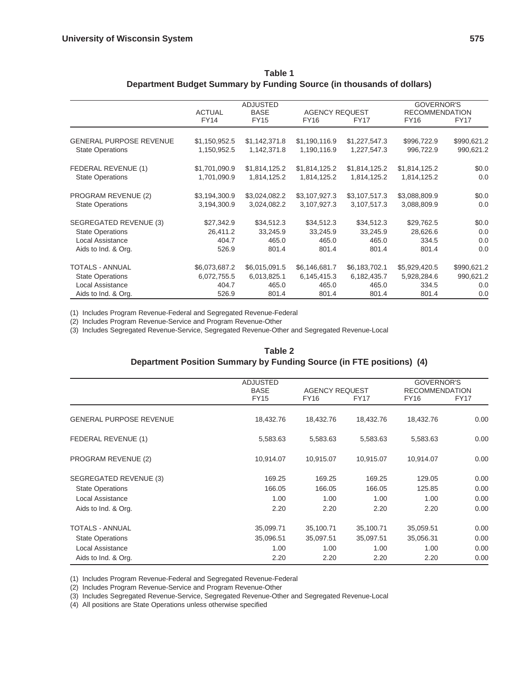|                                | <b>ACTUAL</b> | <b>ADJUSTED</b><br><b>BASE</b> | <b>AGENCY REQUEST</b> |               | <b>GOVERNOR'S</b><br><b>RECOMMENDATION</b> |             |
|--------------------------------|---------------|--------------------------------|-----------------------|---------------|--------------------------------------------|-------------|
|                                | <b>FY14</b>   | <b>FY15</b>                    | <b>FY16</b>           | <b>FY17</b>   | FY16                                       | <b>FY17</b> |
| <b>GENERAL PURPOSE REVENUE</b> | \$1,150,952.5 | \$1,142,371.8                  | \$1,190,116.9         | \$1,227,547.3 | \$996,722.9                                | \$990,621.2 |
| <b>State Operations</b>        | 1,150,952.5   | 1,142,371.8                    | 1,190,116.9           | 1,227,547.3   | 996,722.9                                  | 990,621.2   |
| FEDERAL REVENUE (1)            | \$1,701,090.9 | \$1,814,125.2                  | \$1,814,125.2         | \$1,814,125.2 | \$1,814,125.2                              | \$0.0       |
| <b>State Operations</b>        | 1,701,090.9   | 1,814,125.2                    | 1,814,125.2           | 1,814,125.2   | 1,814,125.2                                | 0.0         |
| PROGRAM REVENUE (2)            | \$3,194,300.9 | \$3,024,082.2                  | \$3,107,927.3         | \$3,107,517.3 | \$3,088,809.9                              | \$0.0       |
| <b>State Operations</b>        | 3,194,300.9   | 3,024,082.2                    | 3,107,927.3           | 3,107,517.3   | 3,088,809.9                                | 0.0         |
| <b>SEGREGATED REVENUE (3)</b>  | \$27,342.9    | \$34,512.3                     | \$34,512.3            | \$34,512.3    | \$29,762.5                                 | \$0.0       |
| <b>State Operations</b>        | 26,411.2      | 33,245.9                       | 33,245.9              | 33,245.9      | 28,626.6                                   | 0.0         |
| Local Assistance               | 404.7         | 465.0                          | 465.0                 | 465.0         | 334.5                                      | 0.0         |
| Aids to Ind. & Org.            | 526.9         | 801.4                          | 801.4                 | 801.4         | 801.4                                      | 0.0         |
| <b>TOTALS - ANNUAL</b>         | \$6,073,687.2 | \$6,015,091.5                  | \$6,146,681.7         | \$6,183,702.1 | \$5,929,420.5                              | \$990,621.2 |
| <b>State Operations</b>        | 6,072,755.5   | 6,013,825.1                    | 6,145,415.3           | 6,182,435.7   | 5,928,284.6                                | 990,621.2   |
| Local Assistance               | 404.7         | 465.0                          | 465.0                 | 465.0         | 334.5                                      | 0.0         |
| Aids to Ind. & Org.            | 526.9         | 801.4                          | 801.4                 | 801.4         | 801.4                                      | 0.0         |

| Table 1                                                               |  |
|-----------------------------------------------------------------------|--|
| Department Budget Summary by Funding Source (in thousands of dollars) |  |

(1) Includes Program Revenue-Federal and Segregated Revenue-Federal

(2) Includes Program Revenue-Service and Program Revenue-Other

(3) Includes Segregated Revenue-Service, Segregated Revenue-Other and Segregated Revenue-Local

|                                | <b>ADJUSTED</b><br><b>BASE</b> | <b>AGENCY REQUEST</b> |             | <b>GOVERNOR'S</b><br><b>RECOMMENDATION</b> |             |  |
|--------------------------------|--------------------------------|-----------------------|-------------|--------------------------------------------|-------------|--|
|                                | <b>FY15</b>                    | <b>FY16</b>           | <b>FY17</b> | <b>FY16</b>                                | <b>FY17</b> |  |
| <b>GENERAL PURPOSE REVENUE</b> | 18,432.76                      | 18,432.76             | 18,432.76   | 18,432.76                                  | 0.00        |  |
| FEDERAL REVENUE (1)            | 5,583.63                       | 5,583.63              | 5,583.63    | 5,583.63                                   | 0.00        |  |
| PROGRAM REVENUE (2)            | 10,914.07                      | 10,915.07             | 10,915.07   | 10,914.07                                  | 0.00        |  |
| SEGREGATED REVENUE (3)         | 169.25                         | 169.25                | 169.25      | 129.05                                     | 0.00        |  |
| <b>State Operations</b>        | 166.05                         | 166.05                | 166.05      | 125.85                                     | 0.00        |  |
| Local Assistance               | 1.00                           | 1.00                  | 1.00        | 1.00                                       | 0.00        |  |
| Aids to Ind. & Org.            | 2.20                           | 2.20                  | 2.20        | 2.20                                       | 0.00        |  |
| <b>TOTALS - ANNUAL</b>         | 35,099.71                      | 35,100.71             | 35,100.71   | 35,059.51                                  | 0.00        |  |
| <b>State Operations</b>        | 35,096.51                      | 35,097.51             | 35,097.51   | 35,056.31                                  | 0.00        |  |
| Local Assistance               | 1.00                           | 1.00                  | 1.00        | 1.00                                       | 0.00        |  |
| Aids to Ind. & Org.            | 2.20                           | 2.20                  | 2.20        | 2.20                                       | 0.00        |  |

| Table 2                                                              |  |
|----------------------------------------------------------------------|--|
| Department Position Summary by Funding Source (in FTE positions) (4) |  |

(1) Includes Program Revenue-Federal and Segregated Revenue-Federal

(2) Includes Program Revenue-Service and Program Revenue-Other

(3) Includes Segregated Revenue-Service, Segregated Revenue-Other and Segregated Revenue-Local

(4) All positions are State Operations unless otherwise specified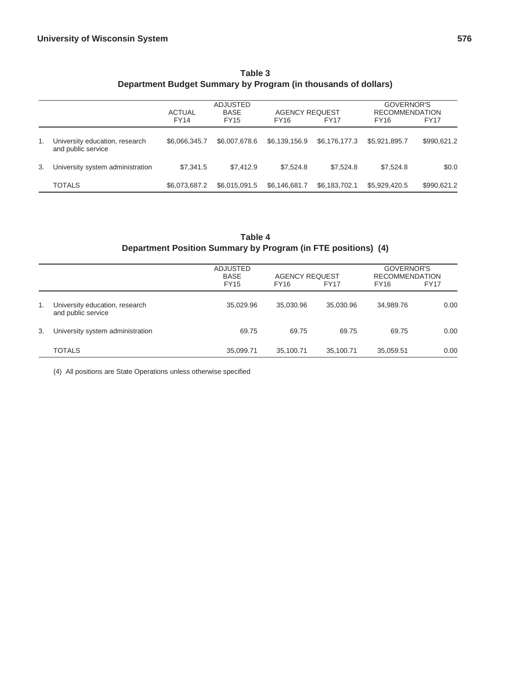|    |                                                      | <b>ADJUSTED</b><br><b>BASE</b><br><b>AGENCY REQUEST</b><br><b>ACTUAL</b><br><b>FY14</b><br><b>FY15</b><br><b>FY16</b><br>FY <sub>17</sub> |               |               |               | GOVERNOR'S<br><b>RECOMMENDATION</b><br>FY <sub>16</sub> | <b>FY17</b> |
|----|------------------------------------------------------|-------------------------------------------------------------------------------------------------------------------------------------------|---------------|---------------|---------------|---------------------------------------------------------|-------------|
| 1. | University education, research<br>and public service | \$6,066,345.7                                                                                                                             | \$6,007,678.6 | \$6,139,156.9 | \$6,176,177.3 | \$5,921,895.7                                           | \$990,621.2 |
| 3. | University system administration                     | \$7.341.5                                                                                                                                 | \$7.412.9     | \$7.524.8     | \$7,524.8     | \$7.524.8                                               | \$0.0       |
|    | TOTALS                                               | \$6,073,687.2                                                                                                                             | \$6,015,091.5 | \$6,146,681.7 | \$6,183,702.1 | \$5,929,420.5                                           | \$990,621.2 |

## **Table 3 Department Budget Summary by Program (in thousands of dollars)**

# **Table 4 Department Position Summary by Program (in FTE positions) (4)**

|    |                                                      | <b>ADJUSTED</b><br><b>BASE</b><br><b>FY15</b> | <b>AGENCY REQUEST</b><br><b>FY16</b> | <b>FY17</b> | GOVERNOR'S<br><b>RECOMMENDATION</b><br>FY16 | <b>FY17</b> |
|----|------------------------------------------------------|-----------------------------------------------|--------------------------------------|-------------|---------------------------------------------|-------------|
| 1. | University education, research<br>and public service | 35,029.96                                     | 35.030.96                            | 35.030.96   | 34,989.76                                   | 0.00        |
| 3. | University system administration                     | 69.75                                         | 69.75                                | 69.75       | 69.75                                       | 0.00        |
|    | <b>TOTALS</b>                                        | 35,099.71                                     | 35.100.71                            | 35,100.71   | 35.059.51                                   | 0.00        |

(4) All positions are State Operations unless otherwise specified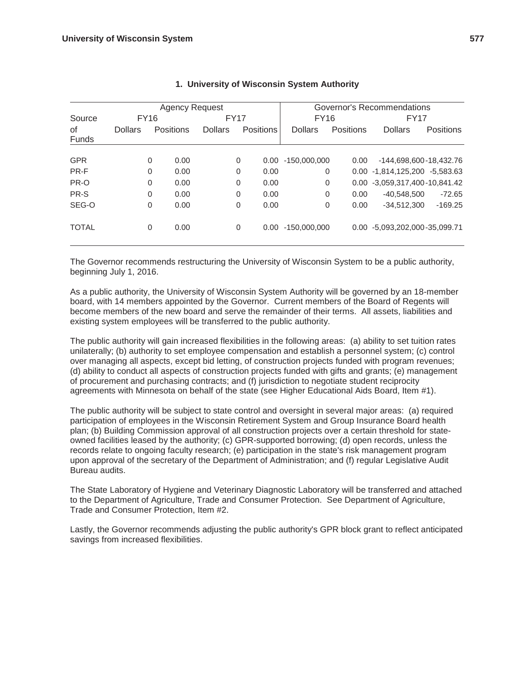|              |                |             | <b>Agency Request</b> |                | Governor's Recommendations |                  |                |                  |                               |                  |
|--------------|----------------|-------------|-----------------------|----------------|----------------------------|------------------|----------------|------------------|-------------------------------|------------------|
| Source       |                | FY16        |                       |                | <b>FY17</b>                |                  | <b>FY16</b>    |                  | <b>FY17</b>                   |                  |
| οf<br>Funds  | <b>Dollars</b> |             | <b>Positions</b>      | <b>Dollars</b> |                            | <b>Positions</b> | <b>Dollars</b> | <b>Positions</b> | <b>Dollars</b>                | <b>Positions</b> |
|              |                |             |                       |                |                            |                  |                |                  |                               |                  |
| <b>GPR</b>   |                | $\Omega$    | 0.00                  |                | 0                          | 0.00             | $-150,000,000$ | 0.00             | -144,698,600-18,432.76        |                  |
| PR-F         |                | $\Omega$    | 0.00                  |                | 0                          | 0.00             | $\Omega$       |                  | 0.00 -1,814,125,200 -5,583.63 |                  |
| PR-O         |                | 0           | 0.00                  |                | $\mathbf 0$                | 0.00             | $\Omega$       |                  | 0.00 -3,059,317,400-10,841.42 |                  |
| PR-S         |                | 0           | 0.00                  |                | $\mathbf 0$                | 0.00             | $\Omega$       | 0.00             | $-40,548,500$                 | $-72.65$         |
| SEG-O        |                | $\mathbf 0$ | 0.00                  |                | $\mathbf 0$                | 0.00             | 0              | 0.00             | $-34.512.300$                 | $-169.25$        |
| <b>TOTAL</b> |                | $\Omega$    | 0.00                  |                | $\mathbf 0$                | 0.00             | $-150,000,000$ |                  | 0.00 -5.093.202.000-35.099.71 |                  |

#### **1. University of Wisconsin System Authority**

The Governor recommends restructuring the University of Wisconsin System to be a public authority, beginning July 1, 2016.

As a public authority, the University of Wisconsin System Authority will be governed by an 18-member board, with 14 members appointed by the Governor. Current members of the Board of Regents will become members of the new board and serve the remainder of their terms. All assets, liabilities and existing system employees will be transferred to the public authority.

The public authority will gain increased flexibilities in the following areas: (a) ability to set tuition rates unilaterally; (b) authority to set employee compensation and establish a personnel system; (c) control over managing all aspects, except bid letting, of construction projects funded with program revenues; (d) ability to conduct all aspects of construction projects funded with gifts and grants; (e) management of procurement and purchasing contracts; and (f) jurisdiction to negotiate student reciprocity agreements with Minnesota on behalf of the state (see Higher Educational Aids Board, Item #1).

The public authority will be subject to state control and oversight in several major areas: (a) required participation of employees in the Wisconsin Retirement System and Group Insurance Board health plan; (b) Building Commission approval of all construction projects over a certain threshold for stateowned facilities leased by the authority; (c) GPR-supported borrowing; (d) open records, unless the records relate to ongoing faculty research; (e) participation in the state's risk management program upon approval of the secretary of the Department of Administration; and (f) regular Legislative Audit Bureau audits.

The State Laboratory of Hygiene and Veterinary Diagnostic Laboratory will be transferred and attached to the Department of Agriculture, Trade and Consumer Protection. See Department of Agriculture, Trade and Consumer Protection, Item #2.

Lastly, the Governor recommends adjusting the public authority's GPR block grant to reflect anticipated savings from increased flexibilities.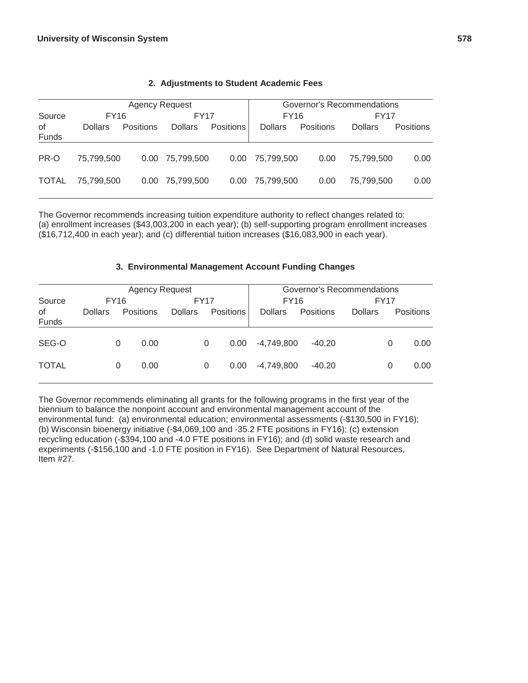|              |                                              |           |                | Governor's Recommendations |                |                  |                |                  |  |
|--------------|----------------------------------------------|-----------|----------------|----------------------------|----------------|------------------|----------------|------------------|--|
| Source       | <b>Agency Request</b><br>FY16<br><b>FY17</b> |           |                |                            | <b>FY16</b>    |                  |                | FY17             |  |
| 0f<br>Funds  | <b>Dollars</b>                               | Positions | <b>Dollars</b> | <b>Positions</b>           | <b>Dollars</b> | <b>Positions</b> | <b>Dollars</b> | <b>Positions</b> |  |
| PR-O         | 75.799.500                                   | 0.00      | 75,799,500     | 0.00 <sub>1</sub>          | 75,799,500     | 0.00             | 75.799.500     | 0.00             |  |
| <b>TOTAL</b> | 75.799.500                                   | 0.00      | 75,799,500     | 0.00                       | 75.799.500     | 0.00             | 75.799.500     | 0.00             |  |

#### **2. Adjustments to Student Academic Fees**

The Governor recommends increasing tuition expenditure authority to reflect changes related to: (a) enrollment increases (\$43,003,200 in each year); (b) self-supporting program enrollment increases (\$16,712,400 in each year); and (c) differential tuition increases (\$16,083,900 in each year).

#### **3. Environmental Management Account Funding Changes**

|              | <b>Agency Request</b> |   |             |                |             |                   |                | Governor's Recommendations |                |   |                  |  |
|--------------|-----------------------|---|-------------|----------------|-------------|-------------------|----------------|----------------------------|----------------|---|------------------|--|
| Source       | FY16                  |   | <b>FY17</b> |                | <b>FY16</b> |                   |                | FY <sub>17</sub>           |                |   |                  |  |
| οf<br>Funds  | <b>Dollars</b>        |   | Positions   | <b>Dollars</b> |             | Positions         | <b>Dollars</b> | Positions                  | <b>Dollars</b> |   | <b>Positions</b> |  |
| SEG-O        |                       | 0 | 0.00        |                | 0           | 0.00 <sub>1</sub> | -4,749,800     | $-40.20$                   |                | 0 | 0.00             |  |
| <b>TOTAL</b> |                       | 0 | 0.00        |                | 0           | 0.00              | -4,749,800     | $-40.20$                   |                | 0 | 0.00             |  |

The Governor recommends eliminating all grants for the following programs in the first year of the biennium to balance the nonpoint account and environmental management account of the environmental fund: (a) environmental education; environmental assessments (-\$130,500 in FY16); (b) Wisconsin bioenergy initiative (-\$4,069,100 and -35.2 FTE positions in FY16); (c) extension recycling education (-\$394,100 and -4.0 FTE positions in FY16); and (d) solid waste research and experiments (-\$156,100 and -1.0 FTE position in FY16). See Department of Natural Resources, Item #27.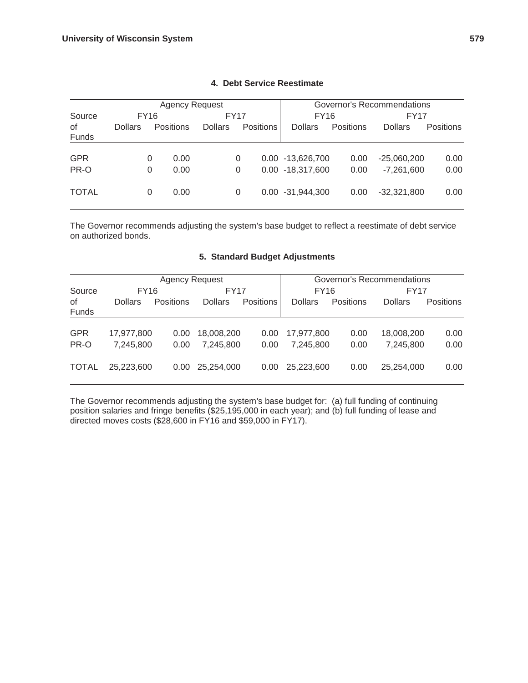|              |                |                  | <b>Agency Request</b> | Governor's Recommendations |                  |                  |                |                  |  |
|--------------|----------------|------------------|-----------------------|----------------------------|------------------|------------------|----------------|------------------|--|
| Source       | <b>FY16</b>    |                  |                       | <b>FY17</b>                |                  | <b>FY16</b>      |                | <b>FY17</b>      |  |
| 0f<br>Funds  | <b>Dollars</b> | <b>Positions</b> | <b>Dollars</b>        | <b>Positions</b>           | <b>Dollars</b>   | <b>Positions</b> | <b>Dollars</b> | <b>Positions</b> |  |
| <b>GPR</b>   |                | 0.00<br>0        |                       | 0                          | 0.00 -13,626,700 | 0.00             | $-25,060,200$  | 0.00             |  |
| PR-O         |                | 0.00<br>0        |                       | 0                          | 0.00 -18,317,600 | 0.00             | $-7,261,600$   | 0.00             |  |
| <b>TOTAL</b> |                | 0.00<br>0        |                       | 0                          | 0.00 -31,944,300 | 0.00             | $-32,321,800$  | 0.00             |  |

#### **4. Debt Service Reestimate**

The Governor recommends adjusting the system's base budget to reflect a reestimate of debt service on authorized bonds.

#### **5. Standard Budget Adjustments**

|              |                | <b>Agency Request</b> |                | Governor's Recommendations |                |           |                  |           |
|--------------|----------------|-----------------------|----------------|----------------------------|----------------|-----------|------------------|-----------|
| Source       | <b>FY16</b>    |                       | <b>FY17</b>    |                            | FY16           |           | FY <sub>17</sub> |           |
| 0f<br>Funds  | <b>Dollars</b> | <b>Positions</b>      | <b>Dollars</b> | <b>Positions</b>           | <b>Dollars</b> | Positions | <b>Dollars</b>   | Positions |
| <b>GPR</b>   | 17,977,800     | 0.00                  | 18,008,200     | 0.00                       | 17.977.800     | 0.00      | 18,008,200       | 0.00      |
| PR-O         | 7.245.800      | 0.00                  | 7.245.800      | 0.00                       | 7.245.800      | 0.00      | 7.245.800        | 0.00      |
| <b>TOTAL</b> | 25.223.600     | 0.00                  | 25,254,000     | 0.00                       | 25,223,600     | 0.00      | 25,254,000       | 0.00      |

The Governor recommends adjusting the system's base budget for: (a) full funding of continuing position salaries and fringe benefits (\$25,195,000 in each year); and (b) full funding of lease and directed moves costs (\$28,600 in FY16 and \$59,000 in FY17).